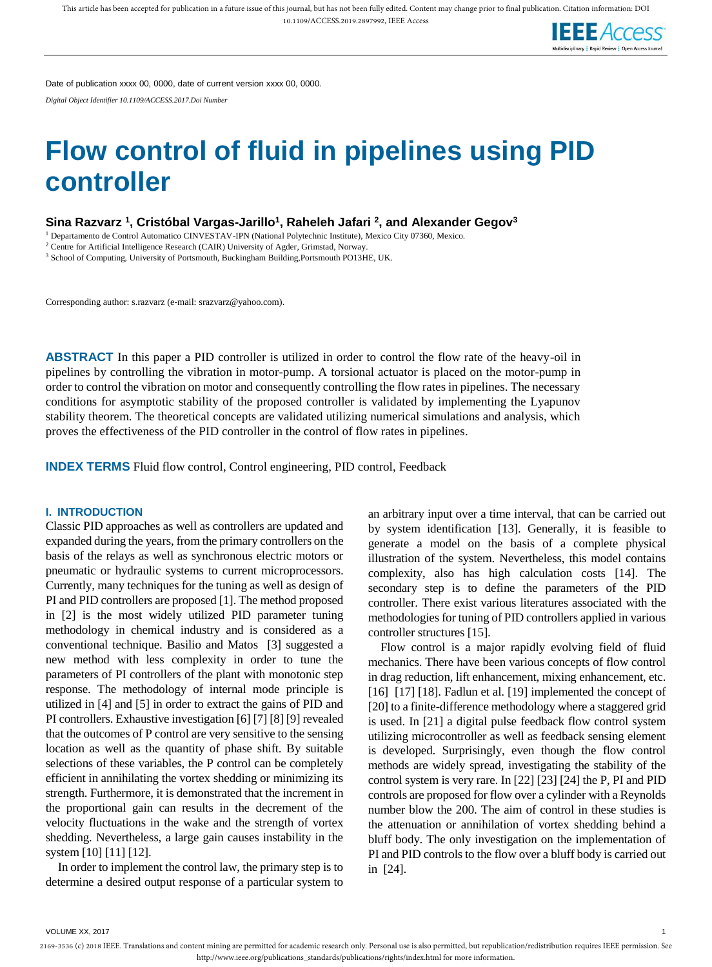

Date of publication xxxx 00, 0000, date of current version xxxx 00, 0000.

*Digital Object Identifier 10.1109/ACCESS.2017.Doi Number*

# **Flow control of fluid in pipelines using PID controller**

**Sina Razvarz <sup>1</sup> , Cristóbal Vargas-Jarillo<sup>1</sup> , Raheleh Jafari <sup>2</sup> , and Alexander Gegov<sup>3</sup>**

<sup>1</sup> Departamento de Control Automatico CINVESTAV-IPN (National Polytechnic Institute), Mexico City 07360, Mexico.

<sup>2</sup> Centre for Artificial Intelligence Research (CAIR) University of Agder, Grimstad, Norway.

<sup>3</sup> School of Computing, University of Portsmouth, Buckingham Building,Portsmouth PO13HE, UK.

Corresponding author: s.razvarz (e-mail: srazvarz@yahoo.com).

**ABSTRACT** In this paper a PID controller is utilized in order to control the flow rate of the heavy-oil in pipelines by controlling the vibration in motor-pump. A torsional actuator is placed on the motor-pump in order to control the vibration on motor and consequently controlling the flow rates in pipelines. The necessary conditions for asymptotic stability of the proposed controller is validated by implementing the Lyapunov stability theorem. The theoretical concepts are validated utilizing numerical simulations and analysis, which proves the effectiveness of the PID controller in the control of flow rates in pipelines.

**INDEX TERMS** Fluid flow control, Control engineering, PID control, Feedback

### **I. INTRODUCTION**

Classic PID approaches as well as controllers are updated and expanded during the years, from the primary controllers on the basis of the relays as well as synchronous electric motors or pneumatic or hydraulic systems to current microprocessors. Currently, many techniques for the tuning as well as design of PI and PID controllers are proposed [1]. The method proposed in [2] is the most widely utilized PID parameter tuning methodology in chemical industry and is considered as a conventional technique. Basilio and Matos [3] suggested a new method with less complexity in order to tune the parameters of PI controllers of the plant with monotonic step response. The methodology of internal mode principle is utilized in [4] and [5] in order to extract the gains of PID and PI controllers. Exhaustive investigation [6] [7] [8] [9] revealed that the outcomes of P control are very sensitive to the sensing location as well as the quantity of phase shift. By suitable selections of these variables, the P control can be completely efficient in annihilating the vortex shedding or minimizing its strength. Furthermore, it is demonstrated that the increment in the proportional gain can results in the decrement of the velocity fluctuations in the wake and the strength of vortex shedding. Nevertheless, a large gain causes instability in the system [10] [11] [12].

In order to implement the control law, the primary step is to determine a desired output response of a particular system to an arbitrary input over a time interval, that can be carried out by system identification [13]. Generally, it is feasible to generate a model on the basis of a complete physical illustration of the system. Nevertheless, this model contains complexity, also has high calculation costs [14]. The secondary step is to define the parameters of the PID controller. There exist various literatures associated with the methodologies for tuning of PID controllers applied in various controller structures [15].

Flow control is a major rapidly evolving field of fluid mechanics. There have been various concepts of flow control in drag reduction, lift enhancement, mixing enhancement, etc. [16] [17] [18]. Fadlun et al. [19] implemented the concept of [20] to a finite-difference methodology where a staggered grid is used. In [21] a digital pulse feedback flow control system utilizing microcontroller as well as feedback sensing element is developed. Surprisingly, even though the flow control methods are widely spread, investigating the stability of the control system is very rare. In [22] [23] [24] the P, PI and PID controls are proposed for flow over a cylinder with a Reynolds number blow the 200. The aim of control in these studies is the attenuation or annihilation of vortex shedding behind a bluff body. The only investigation on the implementation of PI and PID controls to the flow over a bluff body is carried out in [24].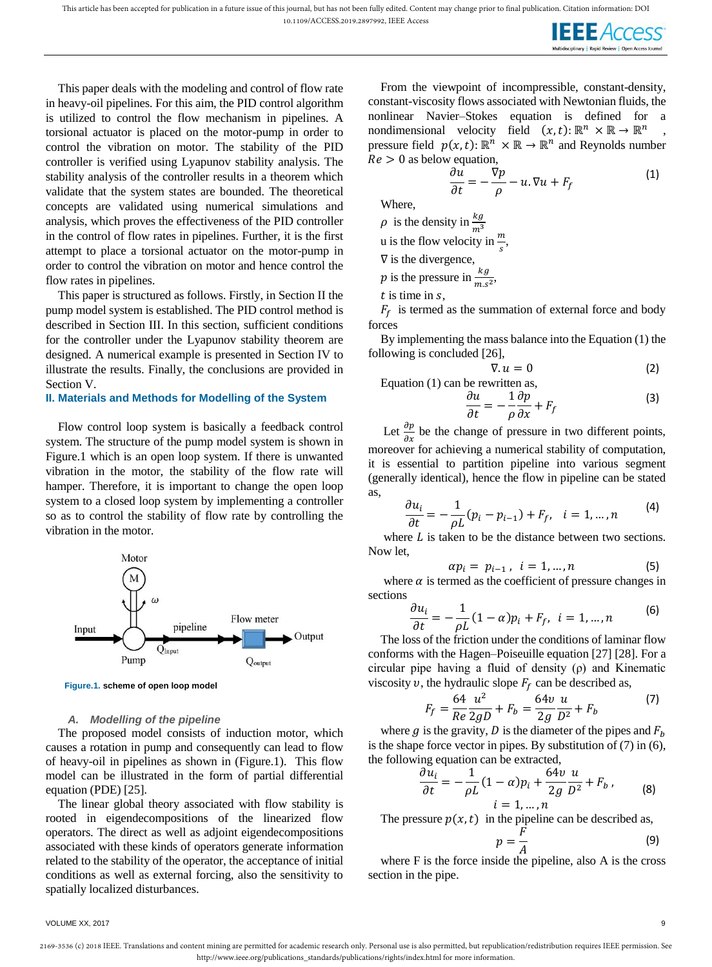10.1109/ACCESS.2019.2897992, IEEE Access



This paper deals with the modeling and control of flow rate in heavy-oil pipelines. For this aim, the PID control algorithm is utilized to control the flow mechanism in pipelines. A torsional actuator is placed on the motor-pump in order to control the vibration on motor. The stability of the PID controller is verified using Lyapunov stability analysis. The stability analysis of the controller results in a theorem which validate that the system states are bounded. The theoretical concepts are validated using numerical simulations and analysis, which proves the effectiveness of the PID controller in the control of flow rates in pipelines. Further, it is the first attempt to place a torsional actuator on the motor-pump in order to control the vibration on motor and hence control the flow rates in pipelines.

This paper is structured as follows. Firstly, in Section II the pump model system is established. The PID control method is described in Section III. In this section, sufficient conditions for the controller under the Lyapunov stability theorem are designed. A numerical example is presented in Section IV to illustrate the results. Finally, the conclusions are provided in Section V.

# **II. Materials and Methods for Modelling of the System**

Flow control loop system is basically a feedback control system. The structure of the pump model system is shown in Figure.1 which is an open loop system. If there is unwanted vibration in the motor, the stability of the flow rate will hamper. Therefore, it is important to change the open loop system to a closed loop system by implementing a controller so as to control the stability of flow rate by controlling the vibration in the motor.



**Figure.1. scheme of open loop model**

#### *A. Modelling of the pipeline*

The proposed model consists of induction motor, which causes a rotation in pump and consequently can lead to flow of heavy-oil in pipelines as shown in (Figure.1). This flow model can be illustrated in the form of partial differential equation (PDE) [25].

The linear global theory associated with flow stability is rooted in eigendecompositions of the linearized flow operators. The direct as well as adjoint eigendecompositions associated with these kinds of operators generate information related to the stability of the operator, the acceptance of initial conditions as well as external forcing, also the sensitivity to spatially localized disturbances.

From the viewpoint of incompressible, constant-density, constant-viscosity flows associated with Newtonian fluids, the nonlinear Navier–Stokes equation is defined for a nondimensional velocity field  $(x, t)$ :  $\mathbb{R}^n \times \mathbb{R} \to \mathbb{R}^n$ , pressure field  $p(x, t)$ :  $\mathbb{R}^n \times \mathbb{R} \to \mathbb{R}^n$  and Reynolds number  $Re > 0$  as below equation,

$$
\frac{\partial u}{\partial t} = -\frac{\nabla p}{\rho} - u \cdot \nabla u + F_f \tag{1}
$$

Where,

 $\rho$  is the density in  $\frac{kg}{m^3}$ 

u is the flow velocity in  $\frac{m}{s}$ ,

∇ is the divergence,

p is the pressure in  $\frac{kg}{m.s^2}$ ,

 $t$  is time in  $s$ ,

 $F_f$  is termed as the summation of external force and body forces

By implementing the mass balance into the Equation (1) the following is concluded [26],

$$
\nabla.u=0\tag{2}
$$

Equation (1) can be rewritten as,

$$
\frac{\partial u}{\partial t} = -\frac{1}{\rho} \frac{\partial p}{\partial x} + F_f \tag{3}
$$

Let  $\frac{\partial p}{\partial x}$  be the change of pressure in two different points, moreover for achieving a numerical stability of computation, it is essential to partition pipeline into various segment (generally identical), hence the flow in pipeline can be stated as,

$$
\frac{\partial u_i}{\partial t} = -\frac{1}{\rho L} (p_i - p_{i-1}) + F_f, \quad i = 1, \dots, n \tag{4}
$$

where  $L$  is taken to be the distance between two sections. Now let,

$$
\alpha p_i = p_{i-1}, \ i = 1, ..., n \tag{5}
$$

where  $\alpha$  is termed as the coefficient of pressure changes in sections

$$
\frac{\partial u_i}{\partial t} = -\frac{1}{\rho L} (1 - \alpha) p_i + F_f, \quad i = 1, \dots, n
$$
 (6)

The loss of the friction under the conditions of laminar flow conforms with the Hagen–Poiseuille equation [27] [28]. For a circular pipe having a fluid of density (ρ) and Kinematic viscosity v, the hydraulic slope  $F_f$  can be described as,

$$
F_f = \frac{64}{Re} \frac{u^2}{2gD} + F_b = \frac{64v}{2g} \frac{u}{D^2} + F_b
$$
 (7)

where  $q$  is the gravity, D is the diameter of the pipes and  $F_h$ is the shape force vector in pipes. By substitution of (7) in (6), the following equation can be extracted,

$$
\frac{\partial u_i}{\partial t} = -\frac{1}{\rho L} (1 - \alpha) p_i + \frac{64v}{2g} \frac{u}{D^2} + F_b ,
$$
 (8)

The pressure  $p(x, t)$  in the pipeline can be described as,

$$
p = \frac{F}{A} \tag{9}
$$

where F is the force inside the pipeline, also A is the cross section in the pipe.

VOLUME XX, 2017 9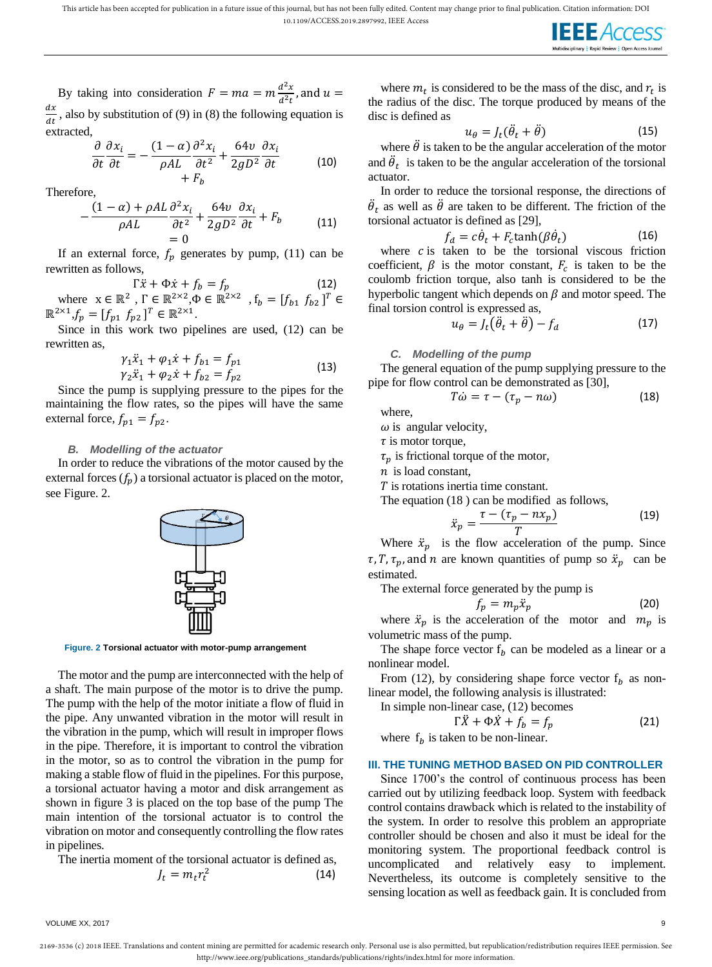Multidisciplinary | Rapid Review | Open Access Journal

By taking into consideration  $F = ma = m \frac{d^2x}{dx^2}$  $\frac{u}{d^2t}$ , and  $u =$  $dx$  $\frac{dx}{dt}$ , also by substitution of (9) in (8) the following equation is extracted,

$$
\frac{\partial}{\partial t}\frac{\partial x_i}{\partial t} = -\frac{(1-\alpha)}{\rho A L} \frac{\partial^2 x_i}{\partial t^2} + \frac{64\nu}{2gD^2} \frac{\partial x_i}{\partial t} + F_b \tag{10}
$$

Therefore,

$$
-\frac{(1-\alpha)+\rho AL}{\rho AL}\frac{\partial^2 x_i}{\partial t^2} + \frac{64\nu}{2gD^2}\frac{\partial x_i}{\partial t} + F_b
$$
  
= 0 (11)

If an external force,  $f_p$  generates by pump, (11) can be rewritten as follows,

 $\Gamma \ddot{x} + \Phi \dot{x} + f_b = f_p$  (12) where  $x \in \mathbb{R}^2$ ,  $\Gamma \in \mathbb{R}^{2 \times 2}$ ,  $\Phi \in \mathbb{R}^{2 \times 2}$ ,  $f_b = [f_{b1} \ f_{b2}]^T$  $\mathbb{R}^{2\times1}$ ,  $f_p = [f_{p1} \ f_{p2}]^T \in \mathbb{R}^{2\times1}$ .

Since in this work two pipelines are used, (12) can be rewritten as,

$$
\gamma_1 \ddot{x}_1 + \varphi_1 \dot{x} + f_{b1} = f_{p1} \n\gamma_2 \ddot{x}_1 + \varphi_2 \dot{x} + f_{b2} = f_{p2}
$$
\n(13)

Since the pump is supplying pressure to the pipes for the maintaining the flow rates, so the pipes will have the same external force,  $f_{p1} = f_{p2}$ .

# *B. Modelling of the actuator*

In order to reduce the vibrations of the motor caused by the external forces  $(f_n)$  a torsional actuator is placed on the motor, see Figure. 2.



**Figure. 2 Torsional actuator with motor-pump arrangement**

The motor and the pump are interconnected with the help of a shaft. The main purpose of the motor is to drive the pump. The pump with the help of the motor initiate a flow of fluid in the pipe. Any unwanted vibration in the motor will result in the vibration in the pump, which will result in improper flows in the pipe. Therefore, it is important to control the vibration in the motor, so as to control the vibration in the pump for making a stable flow of fluid in the pipelines. For this purpose, a torsional actuator having a motor and disk arrangement as shown in figure 3 is placed on the top base of the pump The main intention of the torsional actuator is to control the vibration on motor and consequently controlling the flow rates in pipelines.

The inertia moment of the torsional actuator is defined as,

$$
J_t = m_t r_t^2 \tag{14}
$$

where  $m_t$  is considered to be the mass of the disc, and  $r_t$  is the radius of the disc. The torque produced by means of the disc is defined as

$$
u_{\theta} = J_t(\ddot{\theta}_t + \ddot{\theta}) \tag{15}
$$

where  $\ddot{\theta}$  is taken to be the angular acceleration of the motor and  $\ddot{\theta}_t$  is taken to be the angular acceleration of the torsional actuator.

In order to reduce the torsional response, the directions of  $\ddot{\theta}_t$  as well as  $\ddot{\theta}$  are taken to be different. The friction of the torsional actuator is defined as [29],

$$
f_d = c\dot{\theta}_t + F_c \tanh(\beta \dot{\theta}_t) \tag{16}
$$

where  $c$  is taken to be the torsional viscous friction coefficient,  $\beta$  is the motor constant,  $F_c$  is taken to be the coulomb friction torque, also tanh is considered to be the hyperbolic tangent which depends on  $\beta$  and motor speed. The final torsion control is expressed as,

$$
u_{\theta} = J_t(\ddot{\theta}_t + \ddot{\theta}) - f_d \tag{17}
$$

# *C. Modelling of the pump*

The general equation of the pump supplying pressure to the pipe for flow control can be demonstrated as [30],

$$
T\dot{\omega} = \tau - (\tau_p - n\omega) \tag{18}
$$

where,

In simple

 $\omega$  is angular velocity,

 $\tau$  is motor torque,

 $\tau_p$  is frictional torque of the motor,

 $n$  is load constant,

T is rotations inertia time constant.

The equation (18 ) can be modified as follows,

$$
\ddot{x}_p = \frac{\tau - (\tau_p - nx_p)}{T}
$$
\n(19)

Where  $\ddot{x}_p$  is the flow acceleration of the pump. Since  $\tau$ ,  $\tau_p$ , and  $n$  are known quantities of pump so  $\ddot{x}_p$  can be estimated.

The external force generated by the pump is

$$
f_p = m_p \ddot{x}_p \tag{20}
$$

where  $\ddot{x}_p$  is the acceleration of the motor and  $m_p$  is volumetric mass of the pump.

The shape force vector  $f_b$  can be modeled as a linear or a nonlinear model.

From (12), by considering shape force vector  $f_b$  as nonlinear model, the following analysis is illustrated:

non-linear case, (12) becomes  
\n
$$
\Gamma \ddot{X} + \Phi \dot{X} + f_h = f_n
$$
\n(21)

$$
\Gamma \ddot{X} + \Phi \dot{X} + f_b = f_p
$$

where  $f_h$  is taken to be non-linear.

### **III. THE TUNING METHOD BASED ON PID CONTROLLER**

Since 1700's the control of continuous process has been carried out by utilizing feedback loop. System with feedback control contains drawback which is related to the instability of the system. In order to resolve this problem an appropriate controller should be chosen and also it must be ideal for the monitoring system. The proportional feedback control is uncomplicated and relatively easy to implement. Nevertheless, its outcome is completely sensitive to the sensing location as well as feedback gain. It is concluded from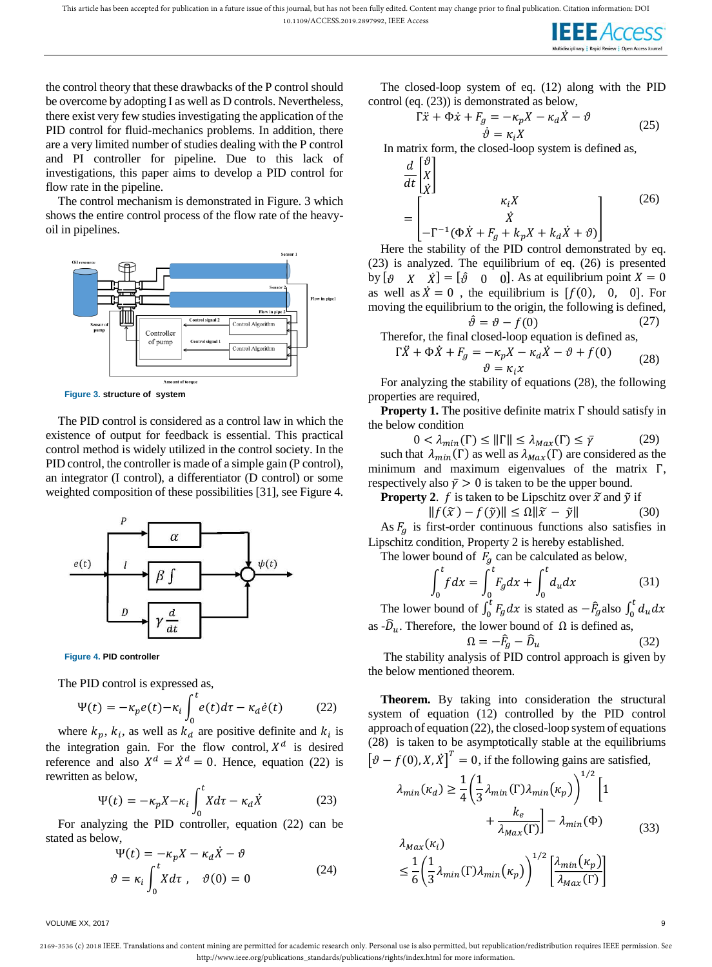**IEEE** Access

the control theory that these drawbacks of the P control should be overcome by adopting I as well as D controls. Nevertheless, there exist very few studies investigating the application of the PID control for fluid-mechanics problems. In addition, there are a very limited number of studies dealing with the P control and PI controller for pipeline. Due to this lack of investigations, this paper aims to develop a PID control for flow rate in the pipeline.

The control mechanism is demonstrated in Figure. 3 which shows the entire control process of the flow rate of the heavyoil in pipelines.



**Figure 3. structure of system**

The PID control is considered as a control law in which the existence of output for feedback is essential. This practical control method is widely utilized in the control society. In the PID control, the controller is made of a simple gain (P control), an integrator (I control), a differentiator (D control) or some weighted composition of these possibilities [31], see Figure 4.



**Figure 4. PID controller**

The PID control is expressed as,

$$
\Psi(t) = -\kappa_p e(t) - \kappa_i \int_0^t e(t) d\tau - \kappa_d \dot{e}(t) \tag{22}
$$

where  $k_p$ ,  $k_i$ , as well as  $k_d$  are positive definite and  $k_i$  is the integration gain. For the flow control,  $X<sup>d</sup>$  is desired reference and also  $X^d = \dot{X}^d = 0$ . Hence, equation (22) is rewritten as below,

$$
\Psi(t) = -\kappa_p X - \kappa_i \int_0^t X dt - \kappa_d \dot{X}
$$
 (23)

For analyzing the PID controller, equation (22) can be stated as below,

$$
\Psi(t) = -\kappa_p X - \kappa_d \dot{X} - \vartheta
$$
  

$$
\vartheta = \kappa_i \int_0^t X d\tau , \quad \vartheta(0) = 0
$$
 (24)

The closed-loop system of eq. (12) along with the PID control (eq. (23)) is demonstrated as below,

$$
\Gamma \ddot{x} + \Phi \dot{x} + F_g = -\kappa_p X - \kappa_d \dot{X} - \vartheta
$$
  

$$
\dot{\vartheta} = \kappa_i X
$$
 (25)

In matrix form, the closed-loop system is defined as,

$$
\frac{d}{dt} \begin{bmatrix} \vartheta \\ X \\ \dot{X} \end{bmatrix}
$$
\n
$$
= \begin{bmatrix} \kappa_i X \\ \dot{X} \\ -\Gamma^{-1}(\Phi \dot{X} + F_g + k_p X + k_d \dot{X} + \vartheta) \end{bmatrix}
$$
\n(26)

Here the stability of the PID control demonstrated by eq. (23) is analyzed. The equilibrium of eq. (26) is presented by  $\begin{bmatrix} \vartheta & X & \dot{X} \end{bmatrix} = \begin{bmatrix} \vartheta & 0 & 0 \end{bmatrix}$ . As at equilibrium point  $X = 0$ as well as  $\dot{x} = 0$ , the equilibrium is [ $f(0)$ , 0, 0]. For moving the equilibrium to the origin, the following is defined,  $\hat{\vartheta} = \vartheta - f(0)$  (27)

Therefor, the final closed-loop equation is defined as,

$$
\Gamma \ddot{X} + \Phi \dot{X} + F_g = -\kappa_p X - \kappa_d \dot{X} - \vartheta + f(0) \n\vartheta = \kappa_i x
$$
\n(28)

For analyzing the stability of equations (28), the following properties are required,

**Property 1.** The positive definite matrix Γ should satisfy in the below condition

 $0 < \lambda_{min}(\Gamma) \le ||\Gamma|| \le \lambda_{max}(\Gamma) \le \bar{\gamma}$  (29) such that  $\lambda_{min}(\Gamma)$  as well as  $\lambda_{max}(\Gamma)$  are considered as the minimum and maximum eigenvalues of the matrix Γ, respectively also  $\bar{y} > 0$  is taken to be the upper bound.

**Property 2.**  $f$  is taken to be Lipschitz over  $\tilde{x}$  and  $\tilde{y}$  if

$$
||f(\tilde{x}) - f(\tilde{y})|| \le \Omega ||\tilde{x} - \tilde{y}|| \tag{30}
$$

As  $F<sub>g</sub>$  is first-order continuous functions also satisfies in Lipschitz condition, Property 2 is hereby established.

The lower bound of  $F<sub>g</sub>$  can be calculated as below,

$$
\int_{0}^{t} f dx = \int_{0}^{t} F_{g} dx + \int_{0}^{t} d_{u} dx
$$
 (31)

The lower bound of  $\int_0^t F_g dx$  is stated as  $-\hat{F}_g$ also  $\int_0^t d_u dx$ as  $-\widehat{D}_n$ . Therefore, the lower bound of  $\Omega$  is defined as,

$$
\Omega = -\hat{F}_g - \hat{D}_u \tag{32}
$$

The stability analysis of PID control approach is given by the below mentioned theorem.

**Theorem.** By taking into consideration the structural system of equation (12) controlled by the PID control approach of equation (22), the closed-loop system of equations (28) is taken to be asymptotically stable at the equilibriums  $[\vartheta - f(0), X, \dot{X}]^{T} = 0$ , if the following gains are satisfied,

$$
\lambda_{min}(\kappa_d) \ge \frac{1}{4} \left( \frac{1}{3} \lambda_{min}(\Gamma) \lambda_{min}(\kappa_p) \right)^{1/2} \left[ 1 + \frac{k_e}{\lambda_{max}(\Gamma)} \right] - \lambda_{min}(\Phi)
$$
\n(33)

$$
\leq \frac{1}{6} \left( \frac{1}{3} \lambda_{min}(\Gamma) \lambda_{min}(\kappa_p) \right)^{1/2} \left[ \frac{\lambda_{min}(\kappa_p)}{\lambda_{max}(\Gamma)} \right]
$$

VOLUME XX, 2017 9

2169-3536 (c) 2018 IEEE. Translations and content mining are permitted for academic research only. Personal use is also permitted, but republication/redistribution requires IEEE permission. See http://www.ieee.org/publications\_standards/publications/rights/index.html for more information.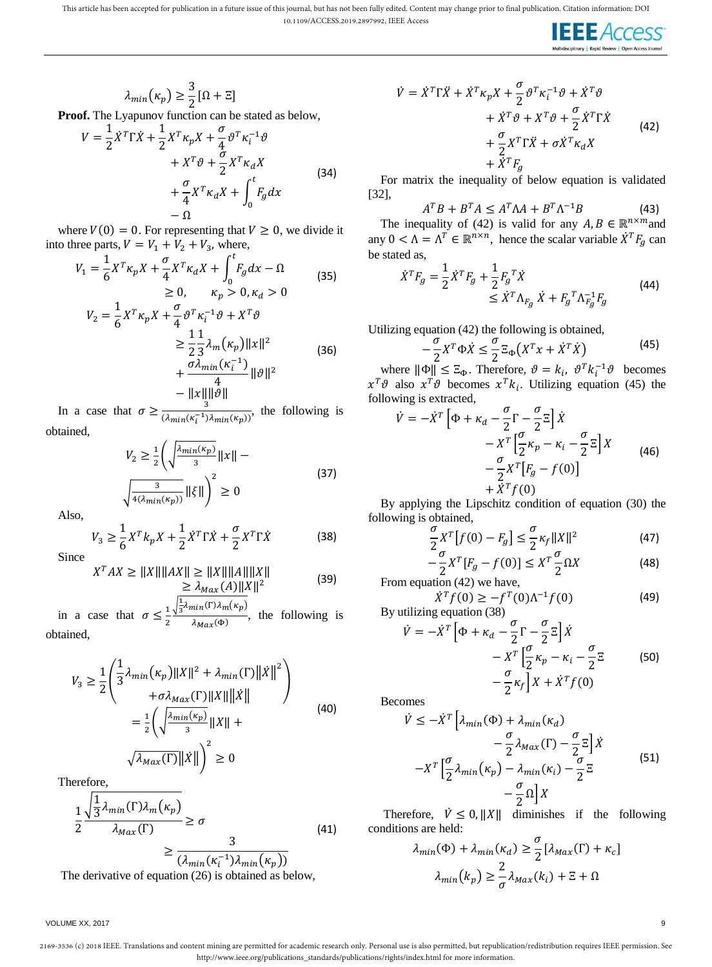This article has been accepted for publication in a future issue of this journal, but has not been fully edited. Content may change prior to final publication. Citation information: DOI 10.1109/ACCESS.2019.2897992, IEEE Access



$$
\lambda_{min}(\kappa_p) \ge \frac{3}{2} [\Omega + \Xi]
$$

**Proof.** The Lyapunov function can be stated as below,

$$
V = \frac{1}{2} \dot{X}^T \Gamma \dot{X} + \frac{1}{2} X^T \kappa_p X + \frac{\sigma}{4} \vartheta^T \kappa_i^{-1} \vartheta + X^T \vartheta + \frac{\sigma}{2} X^T \kappa_d X + \frac{\sigma}{4} X^T \kappa_d X + \int_0^t F_g dx - \Omega
$$
 (34)

where  $V(0) = 0$ . For representing that  $V \ge 0$ , we divide it into three parts,  $V = V_1 + V_2 + V_3$ , where,

$$
V_{1} = \frac{1}{6} X^{T} \kappa_{p} X + \frac{\sigma}{4} X^{T} \kappa_{d} X + \int_{0}^{t} F_{g} dx - \Omega
$$
\n
$$
\geq 0, \quad \kappa_{p} > 0, \kappa_{d} > 0
$$
\n
$$
V_{2} = \frac{1}{6} X^{T} \kappa_{p} X + \frac{\sigma}{4} \vartheta^{T} \kappa_{i}^{-1} \vartheta + X^{T} \vartheta
$$
\n
$$
\geq \frac{1}{2} \frac{1}{3} \lambda_{m}(\kappa_{p}) ||x||^{2}
$$
\n(36)

$$
+\frac{\sigma \lambda_{min}(\kappa_l^{-1})}{4} ||\theta||^2
$$
  
-  $||x|| ||\theta||$ 

In a case that  $\sigma \geq \frac{3}{(1-(1-\sigma))^{1/2}}$  $\frac{3}{(\lambda_{min}(\kappa_i^{-1})\lambda_{min}(\kappa_p))}$ , the following is obtained,

$$
V_2 \ge \frac{1}{2} \left( \sqrt{\frac{\lambda_{min}(\kappa_p)}{3}} \|x\| - \sqrt{\frac{\frac{3}{4(\lambda_{min}(\kappa_p))}}{4(\lambda_{min}(\kappa_p))}} \| \xi \| \right)^2 \ge 0
$$
\n(37)

Also,

$$
V_3 \ge \frac{1}{6} X^T k_p X + \frac{1}{2} \dot{X}^T \Gamma \dot{X} + \frac{\sigma}{2} X^T \Gamma \dot{X}
$$
 (38)

Since

 $X$ 

$$
TAX \ge ||X|| ||AX|| \ge ||X|| ||A|| ||X||
$$
\n
$$
\ge \lambda_{Max}(A) ||X||^2
$$
\n(39)

in a case that  $\sigma \leq \frac{1}{2}$ 2  $\sqrt{\frac{1}{3}}\lambda_{min}(\Gamma)\lambda_{m}(\kappa_{p})$  $\frac{1}{\lambda_{\text{Max}}(\Phi)}$ , the following is obtained,

$$
V_3 \ge \frac{1}{2} \left( \frac{1}{3} \lambda_{min}(\kappa_p) ||X||^2 + \lambda_{min}(\Gamma) ||\dot{X}||^2 + \sigma \lambda_{Max}(\Gamma) ||X|| ||\dot{X}|| \right)
$$
  

$$
= \frac{1}{2} \left( \sqrt{\frac{\lambda_{min}(\kappa_p)}{3}} ||X|| + \sqrt{\lambda_{Max}(\Gamma)} ||\dot{X}|| \right)^2 \ge 0
$$
 (40)

Therefore,

$$
\frac{1}{2} \frac{\sqrt{\frac{1}{3} \lambda_{min}(\Gamma) \lambda_m(\kappa_p)}}{\lambda_{max}(\Gamma)} \ge \sigma
$$
\n
$$
\ge \frac{3}{(\lambda_{min}(\kappa_i^{-1}) \lambda_{min}(\kappa_p))}
$$
\nthe derivative of equation (26) is obtained as below.

The derivative of equation (26) is obtained as below,

$$
\dot{V} = \dot{X}^T \Gamma \ddot{X} + \dot{X}^T \kappa_p X + \frac{\sigma}{2} \vartheta^T \kappa_i^{-1} \vartheta + \dot{X}^T \vartheta \n+ \dot{X}^T \vartheta + X^T \vartheta + \frac{\sigma}{2} \dot{X}^T \Gamma \dot{X} \n+ \frac{\sigma}{2} X^T \Gamma \ddot{X} + \sigma \dot{X}^T \kappa_a X \n+ \dot{X}^T F_g
$$
\n(42)

For matrix the inequality of below equation is validated [32],

$$
A^T B + B^T A \le A^T \Lambda A + B^T \Lambda^{-1} B \tag{43}
$$

The inequality of (42) is valid for any  $A, B \in \mathbb{R}^{n \times m}$  and any  $0 < \Lambda = \Lambda^T \in \mathbb{R}^{n \times n}$ , hence the scalar variable  $\dot{X}^T F_g$  can be stated as,

$$
\dot{X}^T F_g = \frac{1}{2} \dot{X}^T F_g + \frac{1}{2} F_g^T \dot{X} \n\leq \dot{X}^T \Lambda_{F_g} \dot{X} + F_g^T \Lambda_{F_g}^{-1} F_g
$$
\n(44)

Utilizing equation (42) the following is obtained,

$$
-\frac{\sigma}{2}X^T\Phi \dot{X} \leq \frac{\sigma}{2} \Xi_{\Phi} \left( X^T x + \dot{X}^T \dot{X} \right)
$$
(45)

where  $\|\Phi\| \leq \Xi_{\Phi}$ . Therefore,  $\vartheta = k_i$ ,  $\vartheta^{T} k_i^{-1} \vartheta$  becomes  $x^T \theta$  also  $x^T \theta$  becomes  $x^T k_i$ . Utilizing equation (45) the following is extracted,

$$
\dot{V} = -\dot{X}^T \left[ \Phi + \kappa_d - \frac{\sigma}{2} \Gamma - \frac{\sigma}{2} \Xi \right] \dot{X}
$$
  
\n
$$
- X^T \left[ \frac{\sigma}{2} \kappa_p - \kappa_i - \frac{\sigma}{2} \Xi \right] X
$$
  
\n
$$
- \frac{\sigma}{2} X^T \left[ F_g - f(0) \right]
$$
  
\n
$$
+ \dot{X}^T f(0)
$$
 (46)

By applying the Lipschitz condition of equation (30) the following is obtained,

$$
\frac{\sigma}{2} X^T [f(0) - F_g] \le \frac{\sigma}{2} \kappa_f \|X\|^2 \tag{47}
$$

$$
-\frac{o}{2}X^T[F_g - f(0)] \le X^T \frac{o}{2} \Omega X \tag{48}
$$

From equation (42) we have,  $\dot{X}^T f(0) \ge -f^T(0) \Lambda^{-1} f(0)$  (49) By utilizing equation (38)

$$
\dot{V} = -\dot{X}^T \left[ \Phi + \kappa_d - \frac{\sigma}{2} \Gamma - \frac{\sigma}{2} \Xi \right] \dot{X}
$$

$$
- X^T \left[ \frac{\sigma}{\kappa} \kappa - \kappa_s - \frac{\sigma}{2} \Xi \right]
$$

$$
-XT \left[ \frac{\sigma}{2} \kappa_p - \kappa_i - \frac{\sigma}{2} \Xi \right]
$$
  

$$
- \frac{\sigma}{2} \kappa_f \left[ X + \dot{X}^T f(0) \right]
$$
 (50)

Becomes

$$
\dot{V} \le -\dot{X}^T \left[ \lambda_{min}(\Phi) + \lambda_{min}(\kappa_d) -\frac{\sigma}{2} \lambda_{Max}(\Gamma) - \frac{\sigma}{2} \Xi \right] \dot{X}
$$

$$
-X^T \left[ \frac{\sigma}{2} \lambda_{min}(\kappa_p) - \lambda_{min}(\kappa_i) - \frac{\sigma}{2} \Xi \right] \dot{X}
$$

$$
- \frac{\sigma}{2} \Omega \right] X
$$
(51)

Therefore,  $\dot{V} \le 0$ ,  $||X||$  diminishes if the following conditions are held:

$$
\lambda_{min}(\Phi) + \lambda_{min}(\kappa_d) \ge \frac{\sigma}{2} [\lambda_{Max}(\Gamma) + \kappa_c]
$$

$$
\lambda_{min}(k_p) \ge \frac{2}{\sigma} \lambda_{Max}(k_i) + \Xi + \Omega
$$

VOLUME XX, 2017 9

<sup>2169-3536 (</sup>c) 2018 IEEE. Translations and content mining are permitted for academic research only. Personal use is also permitted, but republication/redistribution requires IEEE permission. See http://www.ieee.org/publications\_standards/publications/rights/index.html for more information.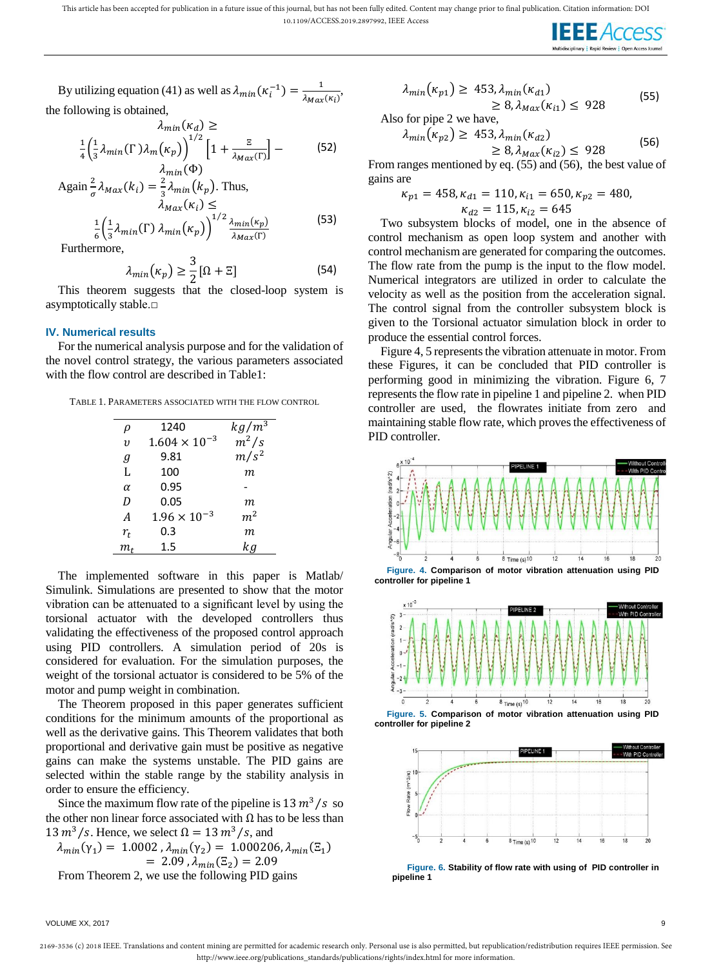10.1109/ACCESS.2019.2897992, IEEE Access



By utilizing equation (41) as well as  $\lambda_{min}(\kappa_i^{-1}) = \frac{1}{\lambda_{min}}$  $\frac{1}{\lambda_{Max}(\kappa_i)},$ the following is obtained,

$$
\lambda_{min}(\kappa_d) \ge
$$
  

$$
\frac{1}{4} \left( \frac{1}{3} \lambda_{min}(\Gamma) \lambda_m(\kappa_p) \right)^{1/2} \left[ 1 + \frac{z}{\lambda_{Max}(\Gamma)} \right] - \qquad (52)
$$
  

$$
\lambda_{min}(\Phi)
$$

Again 
$$
\frac{2}{\sigma} \lambda_{Max}(k_i) = \frac{2}{3} \lambda_{min}(k_p).
$$
 Thus,  

$$
\lambda_{Max}(\kappa_i) \le
$$

$$
\frac{1}{6} \left(\frac{1}{3} \lambda_{min}(\Gamma) \lambda_{min}(\kappa_p)\right)^{1/2} \frac{\lambda_{min}(\kappa_p)}{\lambda_{Max}(\Gamma)}
$$
(53)

Furthermore,

$$
\lambda_{min}(\kappa_p) \ge \frac{3}{2} [\Omega + \Xi] \tag{54}
$$

This theorem suggests that the closed-loop system is asymptotically stable.□

# **IV. Numerical results**

For the numerical analysis purpose and for the validation of the novel control strategy, the various parameters associated with the flow control are described in Table1:

TABLE 1. PARAMETERS ASSOCIATED WITH THE FLOW CONTROL

| ρ           | 1240                   | $kg/m^3$       |
|-------------|------------------------|----------------|
| $\upsilon$  | $1.604 \times 10^{-3}$ | $m^2/s$        |
| g           | 9.81                   | $m/s^2$        |
| L           | 100                    | m              |
| $\alpha$    | 0.95                   |                |
| D           | 0.05                   | m              |
| A           | $1.96 \times 10^{-3}$  | m <sup>2</sup> |
| $r_{t}$     | 0.3                    | m              |
| $m_{\rm t}$ | 1.5                    | k a            |

The implemented software in this paper is Matlab/ Simulink. Simulations are presented to show that the motor vibration can be attenuated to a significant level by using the torsional actuator with the developed controllers thus validating the effectiveness of the proposed control approach using PID controllers. A simulation period of 20s is considered for evaluation. For the simulation purposes, the weight of the torsional actuator is considered to be 5% of the motor and pump weight in combination.

The Theorem proposed in this paper generates sufficient conditions for the minimum amounts of the proportional as well as the derivative gains. This Theorem validates that both proportional and derivative gain must be positive as negative gains can make the systems unstable. The PID gains are selected within the stable range by the stability analysis in order to ensure the efficiency.

Since the maximum flow rate of the pipeline is  $13 \frac{m^3}{s}$  so the other non linear force associated with  $\Omega$  has to be less than 13  $m^3$ /s. Hence, we select  $\Omega = 13 m^3$ /s, and

$$
\lambda_{min}(\gamma_1) = 1.0002, \lambda_{min}(\gamma_2) = 1.000206, \lambda_{min}(\Xi_1) = 2.09, \lambda_{min}(\Xi_2) = 2.09
$$

From Theorem 2, we use the following PID gains

$$
\lambda_{min}(\kappa_{p1}) \ge 453, \lambda_{min}(\kappa_{d1})
$$
  
\n
$$
\ge 8, \lambda_{Max}(\kappa_{i1}) \le 928
$$
\n(55)

Also for pipe 2 we have,

$$
\lambda_{min}(\kappa_{p2}) \ge 453, \lambda_{min}(\kappa_{d2})
$$
  
\n
$$
\ge 8, \lambda_{max}(\kappa_{i2}) \le 928
$$
\n(56)

From ranges mentioned by eq. (55) and (56), the best value of gains are

$$
\kappa_{p1} = 458, \kappa_{d1} = 110, \kappa_{i1} = 650, \kappa_{p2} = 480, \kappa_{d2} = 115, \kappa_{i2} = 645
$$

Two subsystem blocks of model, one in the absence of control mechanism as open loop system and another with control mechanism are generated for comparing the outcomes. The flow rate from the pump is the input to the flow model. Numerical integrators are utilized in order to calculate the velocity as well as the position from the acceleration signal. The control signal from the controller subsystem block is given to the Torsional actuator simulation block in order to produce the essential control forces.

Figure 4, 5 represents the vibration attenuate in motor. From these Figures, it can be concluded that PID controller is performing good in minimizing the vibration. Figure 6, 7 represents the flow rate in pipeline 1 and pipeline 2. when PID controller are used, the flowrates initiate from zero and maintaining stable flow rate, which proves the effectiveness of PID controller.



**Figure. 4. Comparison of motor vibration attenuation using PID controller for pipeline 1**



**Figure. 5. Comparison of motor vibration attenuation using PID controller for pipeline 2**



**Figure. 6. Stability of flow rate with using of PID controller in pipeline 1**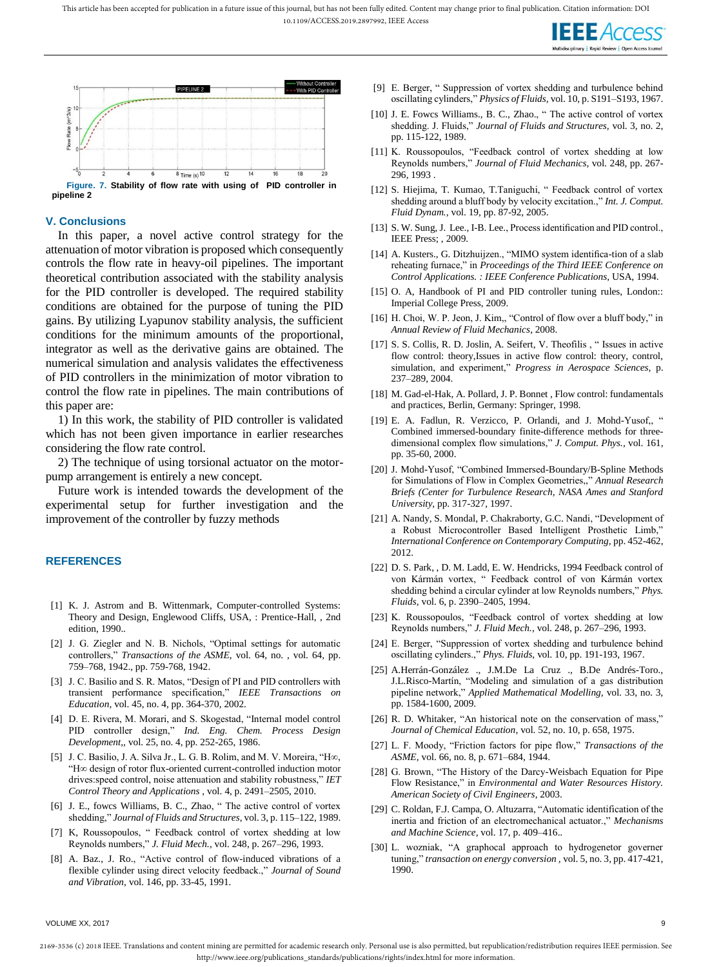**IEEE** Access



## **V. Conclusions**

In this paper, a novel active control strategy for the attenuation of motor vibration is proposed which consequently controls the flow rate in heavy-oil pipelines. The important theoretical contribution associated with the stability analysis for the PID controller is developed. The required stability conditions are obtained for the purpose of tuning the PID gains. By utilizing Lyapunov stability analysis, the sufficient conditions for the minimum amounts of the proportional, integrator as well as the derivative gains are obtained. The numerical simulation and analysis validates the effectiveness of PID controllers in the minimization of motor vibration to control the flow rate in pipelines. The main contributions of this paper are:

1) In this work, the stability of PID controller is validated which has not been given importance in earlier researches considering the flow rate control.

2) The technique of using torsional actuator on the motorpump arrangement is entirely a new concept.

Future work is intended towards the development of the experimental setup for further investigation and the improvement of the controller by fuzzy methods

### **REFERENCES**

- [1] K. J. Astrom and B. Wittenmark, Computer-controlled Systems: Theory and Design, Englewood Cliffs, USA, : Prentice-Hall, , 2nd edition, 1990..
- [2] J. G. Ziegler and N. B. Nichols, "Optimal settings for automatic controllers," *Transactions of the ASME,* vol. 64, no. , vol. 64, pp. 759–768, 1942., pp. 759-768, 1942.
- [3] J. C. Basilio and S. R. Matos, "Design of PI and PID controllers with transient performance specification," *IEEE Transactions on Education,* vol. 45, no. 4, pp. 364-370, 2002.
- [4] D. E. Rivera, M. Morari, and S. Skogestad, "Internal model control PID controller design," *Ind. Eng. Chem. Process Design Development,,* vol. 25, no. 4, pp. 252-265, 1986.
- [5] J. C. Basilio, J. A. Silva Jr., L. G. B. Rolim, and M. V. Moreira, "H∞, "H∞ design of rotor flux-oriented current-controlled induction motor drives:speed control, noise attenuation and stability robustness," *IET Control Theory and Applications ,* vol. 4, p. 2491–2505, 2010.
- [6] J. E., fowcs Williams, B. C., Zhao, " The active control of vortex shedding," *Journal of Fluids and Structures,* vol. 3, p. 115–122, 1989.
- [7] K, Roussopoulos, " Feedback control of vortex shedding at low Reynolds numbers," *J. Fluid Mech.,* vol. 248, p. 267–296, 1993.
- [8] A. Baz., J. Ro., "Active control of flow-induced vibrations of a flexible cylinder using direct velocity feedback.," *Journal of Sound and Vibration,* vol. 146, pp. 33-45, 1991.
- [9] E. Berger, " Suppression of vortex shedding and turbulence behind oscillating cylinders," *Physics of Fluids,* vol. 10, p. S191–S193, 1967.
- [10] J. E. Fowcs Williams., B. C., Zhao., " The active control of vortex shedding. J. Fluids," *Journal of Fluids and Structures,* vol. 3, no. 2, pp. 115-122, 1989.
- [11] K. Roussopoulos, "Feedback control of vortex shedding at low Reynolds numbers," *Journal of Fluid Mechanics,* vol. 248, pp. 267- 296, 1993 .
- [12] S. Hiejima, T. Kumao, T.Taniguchi, " Feedback control of vortex shedding around a bluff body by velocity excitation.," *Int. J. Comput. Fluid Dynam.,* vol. 19, pp. 87-92, 2005.
- [13] S. W. Sung, J. Lee., I-B. Lee., Process identification and PID control., IEEE Press; , 2009.
- [14] A. Kusters., G. Ditzhuijzen., "MIMO system identifica-tion of a slab reheating furnace," in *Proceedings of the Third IEEE Conference on Control Applications. : IEEE Conference Publications*, USA, 1994.
- [15] O. A, Handbook of PI and PID controller tuning rules, London:: Imperial College Press, 2009.
- [16] H. Choi, W. P. Jeon, J. Kim,, "Control of flow over a bluff body," in *Annual Review of Fluid Mechanics*, 2008.
- [17] S. S. Collis, R. D. Joslin, A. Seifert, V. Theofilis , " Issues in active flow control: theory,Issues in active flow control: theory, control, simulation, and experiment," *Progress in Aerospace Sciences,* p. 237–289, 2004.
- [18] M. Gad-el-Hak, A. Pollard, J. P. Bonnet , Flow control: fundamentals and practices, Berlin, Germany: Springer, 1998.
- [19] E. A. Fadlun, R. Verzicco, P. Orlandi, and J. Mohd-Yusof,, " Combined immersed-boundary finite-difference methods for threedimensional complex flow simulations," *J. Comput. Phys.,* vol. 161, pp. 35-60, 2000.
- [20] J. Mohd-Yusof, "Combined Immersed-Boundary/B-Spline Methods for Simulations of Flow in Complex Geometries,," *Annual Research Briefs (Center for Turbulence Research, NASA Ames and Stanford University,* pp. 317-327, 1997.
- [21] A. Nandy, S. Mondal, P. Chakraborty, G.C. Nandi, "Development of a Robust Microcontroller Based Intelligent Prosthetic Limb," *International Conference on Contemporary Computing,* pp. 452-462, 2012.
- [22] D. S. Park, , D. M. Ladd, E. W. Hendricks, 1994 Feedback control of von Kármán vortex, " Feedback control of von Kármán vortex shedding behind a circular cylinder at low Reynolds numbers," *Phys. Fluids,* vol. 6, p. 2390–2405, 1994.
- [23] K. Roussopoulos, "Feedback control of vortex shedding at low Reynolds numbers," *J. Fluid Mech.,* vol. 248, p. 267–296, 1993.
- [24] E. Berger, "Suppression of vortex shedding and turbulence behind oscillating cylinders.," *Phys. Fluids,* vol. 10, pp. 191-193, 1967.
- [25] A.Herrán-González ., J.M.De La Cruz ., B.De Andrés-Toro., J.L.Risco-Martín, "Modeling and simulation of a gas distribution pipeline network," *Applied Mathematical Modelling,* vol. 33, no. 3, pp. 1584-1600, 2009.
- [26] R. D. Whitaker, "An historical note on the conservation of mass," *Journal of Chemical Education,* vol. 52, no. 10, p. 658, 1975.
- [27] L. F. Moody, "Friction factors for pipe flow," *Transactions of the ASME,* vol. 66, no. 8, p. 671–684, 1944.
- [28] G. Brown, "The History of the Darcy-Weisbach Equation for Pipe Flow Resistance," in *Environmental and Water Resources History. American Society of Civil Engineers*, 2003.
- [29] C. Roldan, F.J. Campa, O. Altuzarra, "Automatic identification of the inertia and friction of an electromechanical actuator.," *Mechanisms and Machine Science,* vol. 17, p. 409–416..
- [30] L. wozniak, "A graphocal approach to hydrogenetor governer tuning," *transaction on energy conversion ,* vol. 5, no. 3, pp. 417-421, 1990.

VOLUME XX, 2017 9

2169-3536 (c) 2018 IEEE. Translations and content mining are permitted for academic research only. Personal use is also permitted, but republication/redistribution requires IEEE permission. See http://www.ieee.org/publications\_standards/publications/rights/index.html for more information.